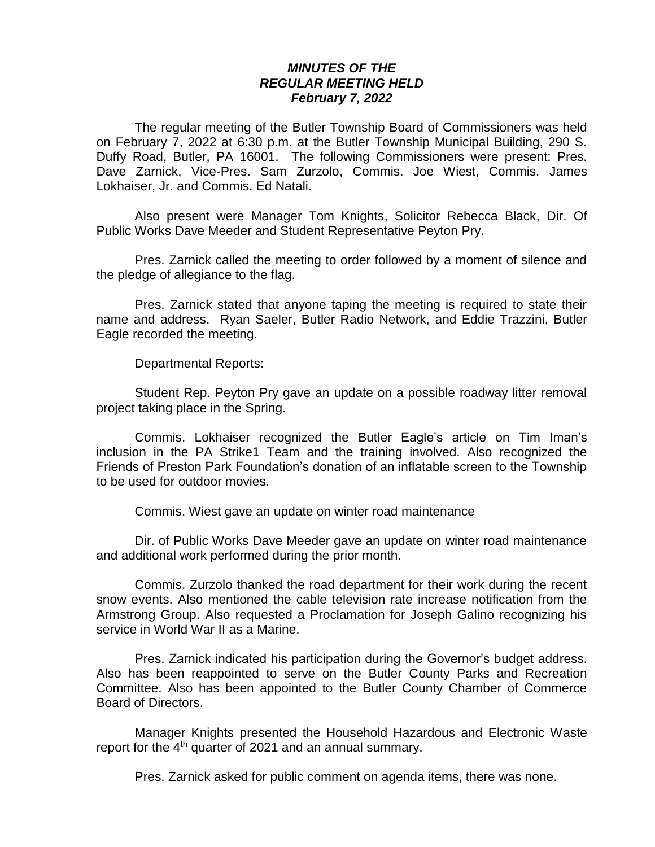## *MINUTES OF THE REGULAR MEETING HELD February 7, 2022*

The regular meeting of the Butler Township Board of Commissioners was held on February 7, 2022 at 6:30 p.m. at the Butler Township Municipal Building, 290 S. Duffy Road, Butler, PA 16001. The following Commissioners were present: Pres. Dave Zarnick, Vice-Pres. Sam Zurzolo, Commis. Joe Wiest, Commis. James Lokhaiser, Jr. and Commis. Ed Natali.

Also present were Manager Tom Knights, Solicitor Rebecca Black, Dir. Of Public Works Dave Meeder and Student Representative Peyton Pry.

Pres. Zarnick called the meeting to order followed by a moment of silence and the pledge of allegiance to the flag.

Pres. Zarnick stated that anyone taping the meeting is required to state their name and address. Ryan Saeler, Butler Radio Network, and Eddie Trazzini, Butler Eagle recorded the meeting.

Departmental Reports:

Student Rep. Peyton Pry gave an update on a possible roadway litter removal project taking place in the Spring.

Commis. Lokhaiser recognized the Butler Eagle's article on Tim Iman's inclusion in the PA Strike1 Team and the training involved. Also recognized the Friends of Preston Park Foundation's donation of an inflatable screen to the Township to be used for outdoor movies.

Commis. Wiest gave an update on winter road maintenance

Dir. of Public Works Dave Meeder gave an update on winter road maintenance and additional work performed during the prior month.

Commis. Zurzolo thanked the road department for their work during the recent snow events. Also mentioned the cable television rate increase notification from the Armstrong Group. Also requested a Proclamation for Joseph Galino recognizing his service in World War II as a Marine.

Pres. Zarnick indicated his participation during the Governor's budget address. Also has been reappointed to serve on the Butler County Parks and Recreation Committee. Also has been appointed to the Butler County Chamber of Commerce Board of Directors.

Manager Knights presented the Household Hazardous and Electronic Waste report for the 4<sup>th</sup> quarter of 2021 and an annual summary.

Pres. Zarnick asked for public comment on agenda items, there was none.